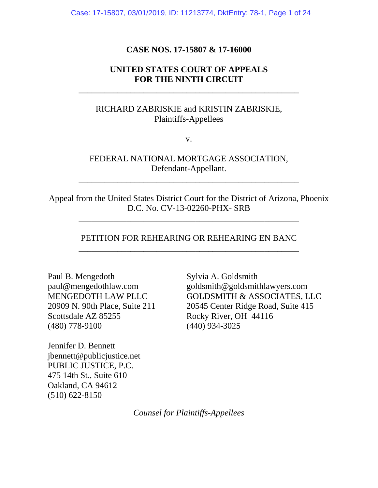Case: 17-15807, 03/01/2019, ID: 11213774, DktEntry: 78-1, Page 1 of 24

## **CASE NOS. 17-15807 & 17-16000**

## **UNITED STATES COURT OF APPEALS FOR THE NINTH CIRCUIT**

**\_\_\_\_\_\_\_\_\_\_\_\_\_\_\_\_\_\_\_\_\_\_\_\_\_\_\_\_\_\_\_\_\_\_\_\_\_\_\_\_\_\_\_\_\_\_\_\_\_\_\_**

## RICHARD ZABRISKIE and KRISTIN ZABRISKIE, Plaintiffs-Appellees

v.

FEDERAL NATIONAL MORTGAGE ASSOCIATION, Defendant-Appellant.

\_\_\_\_\_\_\_\_\_\_\_\_\_\_\_\_\_\_\_\_\_\_\_\_\_\_\_\_\_\_\_\_\_\_\_\_\_\_\_\_\_\_\_\_\_\_\_\_\_\_\_

Appeal from the United States District Court for the District of Arizona, Phoenix D.C. No. CV-13-02260-PHX- SRB

\_\_\_\_\_\_\_\_\_\_\_\_\_\_\_\_\_\_\_\_\_\_\_\_\_\_\_\_\_\_\_\_\_\_\_\_\_\_\_\_\_\_\_\_\_\_\_\_\_\_\_

## PETITION FOR REHEARING OR REHEARING EN BANC \_\_\_\_\_\_\_\_\_\_\_\_\_\_\_\_\_\_\_\_\_\_\_\_\_\_\_\_\_\_\_\_\_\_\_\_\_\_\_\_\_\_\_\_\_\_\_\_\_\_\_

Paul B. Mengedoth paul@mengedothlaw.com MENGEDOTH LAW PLLC 20909 N. 90th Place, Suite 211 Scottsdale AZ 85255 (480) 778-9100

Jennifer D. Bennett jbennett@publicjustice.net PUBLIC JUSTICE, P.C. 475 14th St., Suite 610 Oakland, CA 94612 (510) 622-8150

Sylvia A. Goldsmith goldsmith@goldsmithlawyers.com GOLDSMITH & ASSOCIATES, LLC 20545 Center Ridge Road, Suite 415 Rocky River, OH 44116 (440) 934-3025

*Counsel for Plaintiffs-Appellees*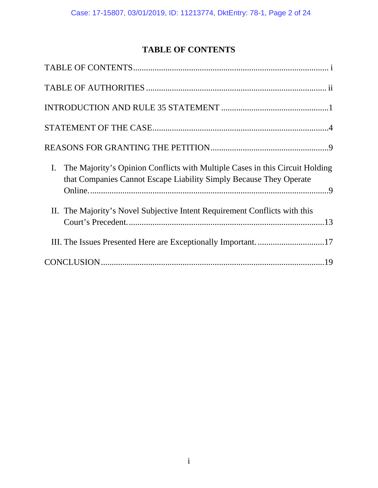# **TABLE OF CONTENTS**

<span id="page-1-0"></span>

| The Majority's Opinion Conflicts with Multiple Cases in this Circuit Holding<br>$\mathbf{I}$ .<br>that Companies Cannot Escape Liability Simply Because They Operate |
|----------------------------------------------------------------------------------------------------------------------------------------------------------------------|
| II. The Majority's Novel Subjective Intent Requirement Conflicts with this                                                                                           |
| III. The Issues Presented Here are Exceptionally Important. 17                                                                                                       |
|                                                                                                                                                                      |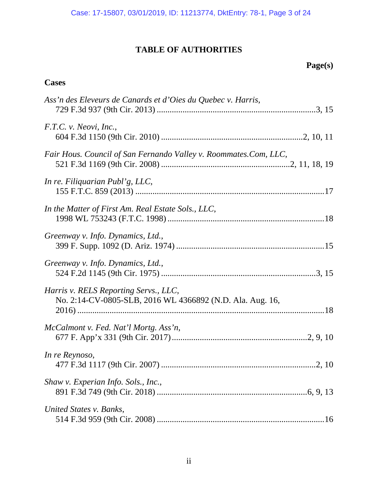# **TABLE OF AUTHORITIES**

# **Page(s)**

# <span id="page-2-0"></span>**Cases**

| Ass'n des Eleveurs de Canards et d'Oies du Quebec v. Harris,                                       |
|----------------------------------------------------------------------------------------------------|
| F.T.C. v. Neovi, Inc.,                                                                             |
| Fair Hous. Council of San Fernando Valley v. Roommates.Com, LLC,                                   |
| In re. Filiquarian Publ'g, LLC,                                                                    |
| In the Matter of First Am. Real Estate Sols., LLC,                                                 |
| Greenway v. Info. Dynamics, Ltd.,                                                                  |
| Greenway v. Info. Dynamics, Ltd.,                                                                  |
| Harris v. RELS Reporting Servs., LLC,<br>No. 2:14-CV-0805-SLB, 2016 WL 4366892 (N.D. Ala. Aug. 16, |
| McCalmont v. Fed. Nat'l Mortg. Ass'n,                                                              |
| In re Reynoso,                                                                                     |
| Shaw v. Experian Info. Sols., Inc.,                                                                |
| United States v. Banks,                                                                            |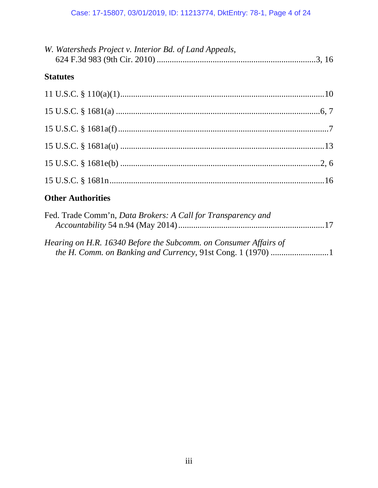| W. Watersheds Project v. Interior Bd. of Land Appeals, |  |
|--------------------------------------------------------|--|
|                                                        |  |

# **Statutes**

# **Other Authorities**

| Fed. Trade Comm'n, Data Brokers: A Call for Transparency and      |  |
|-------------------------------------------------------------------|--|
|                                                                   |  |
|                                                                   |  |
| Hearing on H.R. 16340 Before the Subcomm. on Consumer Affairs of  |  |
| <i>the H. Comm. on Banking and Currency, 91st Cong. 1 (1970) </i> |  |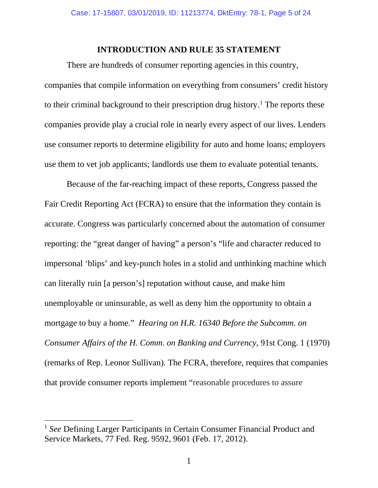### **INTRODUCTION AND RULE 35 STATEMENT**

<span id="page-4-0"></span>There are hundreds of consumer reporting agencies in this country, companies that compile information on everything from consumers' credit history to their criminal background to their prescription drug history. [1](#page-4-2) The reports these companies provide play a crucial role in nearly every aspect of our lives. Lenders use consumer reports to determine eligibility for auto and home loans; employers use them to vet job applicants; landlords use them to evaluate potential tenants.

Because of the far-reaching impact of these reports, Congress passed the Fair Credit Reporting Act (FCRA) to ensure that the information they contain is accurate. Congress was particularly concerned about the automation of consumer reporting: the "great danger of having" a person's "life and character reduced to impersonal 'blips' and key-punch holes in a stolid and unthinking machine which can literally ruin [a person's] reputation without cause, and make him unemployable or uninsurable, as well as deny him the opportunity to obtain a mortgage to buy a home." *Hearing on H.R. 16340 Before the Subcomm. on Consumer Affairs of the H. Comm. on Banking and Currency*, 91st Cong. 1 (1970) (remarks of Rep. Leonor Sullivan). The FCRA, therefore, requires that companies that provide consumer reports implement "reasonable procedures to assure

<span id="page-4-1"></span>l

<span id="page-4-2"></span><sup>1</sup> *See* Defining Larger Participants in Certain Consumer Financial Product and Service Markets, 77 Fed. Reg. 9592, 9601 (Feb. 17, 2012).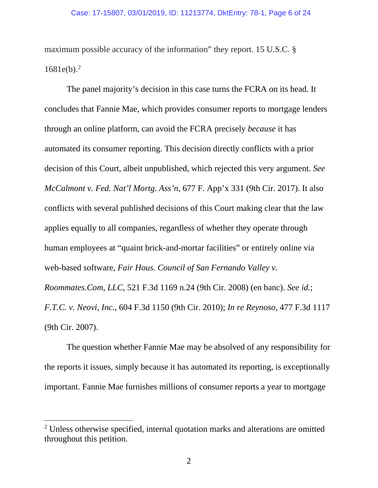#### <span id="page-5-4"></span>Case: 17-15807, 03/01/2019, ID: 11213774, DktEntry: 78-1, Page 6 of 24

maximum possible accuracy of the information" they report. 15 U.S.C. §  $1681e(b).<sup>2</sup>$  $1681e(b).<sup>2</sup>$  $1681e(b).<sup>2</sup>$ 

<span id="page-5-2"></span>The panel majority's decision in this case turns the FCRA on its head. It concludes that Fannie Mae, which provides consumer reports to mortgage lenders through an online platform, can avoid the FCRA precisely *because* it has automated its consumer reporting. This decision directly conflicts with a prior decision of this Court, albeit unpublished, which rejected this very argument. *See McCalmont v. Fed. Nat'l Mortg. Ass'n*, 677 F. App'x 331 (9th Cir. 2017). It also conflicts with several published decisions of this Court making clear that the law applies equally to all companies, regardless of whether they operate through human employees at "quaint brick-and-mortar facilities" or entirely online via web-based software, *Fair Hous. Council of San Fernando Valley v.* 

<span id="page-5-3"></span><span id="page-5-1"></span><span id="page-5-0"></span>*Roommates.Com, LLC*, 521 F.3d 1169 n.24 (9th Cir. 2008) (en banc). *See id.*; *F.T.C. v. Neovi, Inc.*, 604 F.3d 1150 (9th Cir. 2010); *In re Reynoso*, 477 F.3d 1117 (9th Cir. 2007).

The question whether Fannie Mae may be absolved of any responsibility for the reports it issues, simply because it has automated its reporting, is exceptionally important. Fannie Mae furnishes millions of consumer reports a year to mortgage

l

<span id="page-5-5"></span><sup>&</sup>lt;sup>2</sup> Unless otherwise specified, internal quotation marks and alterations are omitted throughout this petition.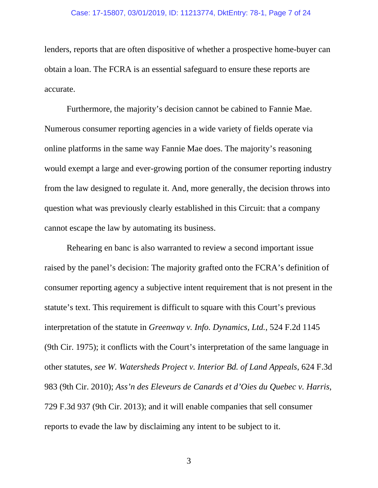#### Case: 17-15807, 03/01/2019, ID: 11213774, DktEntry: 78-1, Page 7 of 24

lenders, reports that are often dispositive of whether a prospective home-buyer can obtain a loan. The FCRA is an essential safeguard to ensure these reports are accurate.

Furthermore, the majority's decision cannot be cabined to Fannie Mae. Numerous consumer reporting agencies in a wide variety of fields operate via online platforms in the same way Fannie Mae does. The majority's reasoning would exempt a large and ever-growing portion of the consumer reporting industry from the law designed to regulate it. And, more generally, the decision throws into question what was previously clearly established in this Circuit: that a company cannot escape the law by automating its business.

<span id="page-6-2"></span><span id="page-6-1"></span><span id="page-6-0"></span>Rehearing en banc is also warranted to review a second important issue raised by the panel's decision: The majority grafted onto the FCRA's definition of consumer reporting agency a subjective intent requirement that is not present in the statute's text. This requirement is difficult to square with this Court's previous interpretation of the statute in *Greenway v. Info. Dynamics, Ltd.*, 524 F.2d 1145 (9th Cir. 1975); it conflicts with the Court's interpretation of the same language in other statutes, *see W. Watersheds Project v. Interior Bd. of Land Appeals*, 624 F.3d 983 (9th Cir. 2010); *Ass'n des Eleveurs de Canards et d'Oies du Quebec v. Harris*, 729 F.3d 937 (9th Cir. 2013); and it will enable companies that sell consumer reports to evade the law by disclaiming any intent to be subject to it.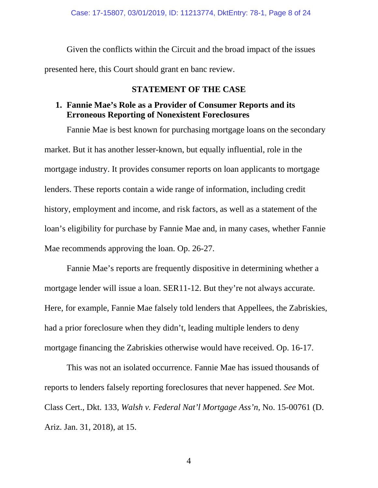Given the conflicts within the Circuit and the broad impact of the issues presented here, this Court should grant en banc review.

## **STATEMENT OF THE CASE**

## <span id="page-7-0"></span>**1. Fannie Mae's Role as a Provider of Consumer Reports and its Erroneous Reporting of Nonexistent Foreclosures**

Fannie Mae is best known for purchasing mortgage loans on the secondary market. But it has another lesser-known, but equally influential, role in the mortgage industry. It provides consumer reports on loan applicants to mortgage lenders. These reports contain a wide range of information, including credit history, employment and income, and risk factors, as well as a statement of the loan's eligibility for purchase by Fannie Mae and, in many cases, whether Fannie Mae recommends approving the loan. Op. 26-27.

Fannie Mae's reports are frequently dispositive in determining whether a mortgage lender will issue a loan. SER11-12. But they're not always accurate. Here, for example, Fannie Mae falsely told lenders that Appellees, the Zabriskies, had a prior foreclosure when they didn't, leading multiple lenders to deny mortgage financing the Zabriskies otherwise would have received. Op. 16-17.

This was not an isolated occurrence. Fannie Mae has issued thousands of reports to lenders falsely reporting foreclosures that never happened. *See* Mot. Class Cert., Dkt. 133, *Walsh v. Federal Nat'l Mortgage Ass'n*, No. 15-00761 (D. Ariz. Jan. 31, 2018), at 15.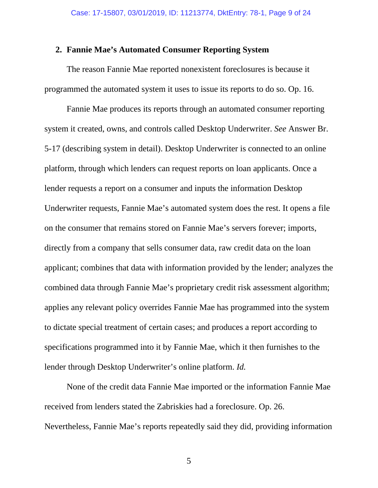### **2. Fannie Mae's Automated Consumer Reporting System**

The reason Fannie Mae reported nonexistent foreclosures is because it programmed the automated system it uses to issue its reports to do so. Op. 16.

Fannie Mae produces its reports through an automated consumer reporting system it created, owns, and controls called Desktop Underwriter. *See* Answer Br. 5-17 (describing system in detail). Desktop Underwriter is connected to an online platform, through which lenders can request reports on loan applicants. Once a lender requests a report on a consumer and inputs the information Desktop Underwriter requests, Fannie Mae's automated system does the rest. It opens a file on the consumer that remains stored on Fannie Mae's servers forever; imports, directly from a company that sells consumer data, raw credit data on the loan applicant; combines that data with information provided by the lender; analyzes the combined data through Fannie Mae's proprietary credit risk assessment algorithm; applies any relevant policy overrides Fannie Mae has programmed into the system to dictate special treatment of certain cases; and produces a report according to specifications programmed into it by Fannie Mae, which it then furnishes to the lender through Desktop Underwriter's online platform. *Id.*

None of the credit data Fannie Mae imported or the information Fannie Mae received from lenders stated the Zabriskies had a foreclosure. Op. 26. Nevertheless, Fannie Mae's reports repeatedly said they did, providing information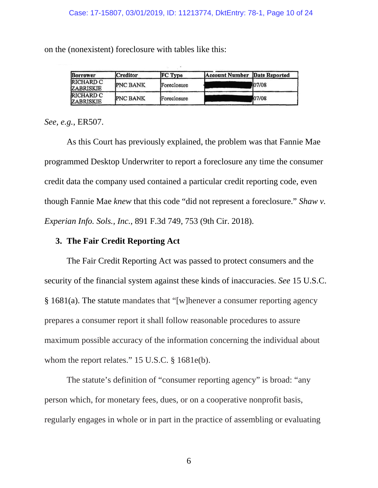on the (nonexistent) foreclosure with tables like this:

| <b>Borrower</b>               | <b>Creditor</b> | <b>FC Type</b> | <b>Account Number Date Reported</b> |        |
|-------------------------------|-----------------|----------------|-------------------------------------|--------|
| <b>RICHARD C</b><br>ZABRISKIE | <b>PNC BANK</b> | Foreclosure    |                                     | 107/08 |
| <b>RICHARD C</b><br>ZABRISKIE | <b>PNC BANK</b> | Foreclosure    |                                     | 07/08  |

*See, e.g.*, ER507.

As this Court has previously explained, the problem was that Fannie Mae programmed Desktop Underwriter to report a foreclosure any time the consumer credit data the company used contained a particular credit reporting code, even though Fannie Mae *knew* that this code "did not represent a foreclosure." *Shaw v. Experian Info. Sols., Inc.*, 891 F.3d 749, 753 (9th Cir. 2018).

## <span id="page-9-1"></span><span id="page-9-0"></span>**3. The Fair Credit Reporting Act**

The Fair Credit Reporting Act was passed to protect consumers and the security of the financial system against these kinds of inaccuracies. *See* 15 U.S.C. § 1681(a). The statute mandates that "[w]henever a consumer reporting agency prepares a consumer report it shall follow reasonable procedures to assure maximum possible accuracy of the information concerning the individual about whom the report relates." 15 U.S.C. § 1681e(b).

<span id="page-9-2"></span>The statute's definition of "consumer reporting agency" is broad: "any person which, for monetary fees, dues, or on a cooperative nonprofit basis, regularly engages in whole or in part in the practice of assembling or evaluating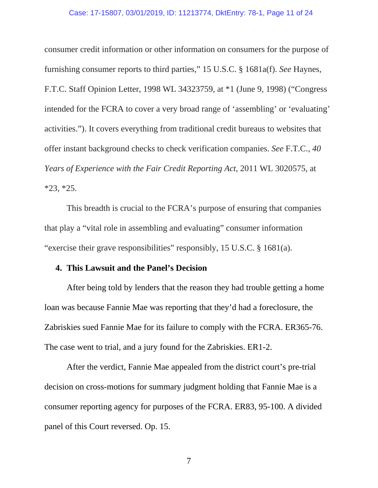#### <span id="page-10-1"></span>Case: 17-15807, 03/01/2019, ID: 11213774, DktEntry: 78-1, Page 11 of 24

consumer credit information or other information on consumers for the purpose of furnishing consumer reports to third parties," 15 U.S.C. § 1681a(f). *See* Haynes, F.T.C. Staff Opinion Letter, 1998 WL 34323759, at \*1 (June 9, 1998) ("Congress intended for the FCRA to cover a very broad range of 'assembling' or 'evaluating' activities."). It covers everything from traditional credit bureaus to websites that offer instant background checks to check verification companies. *See* F.T.C., *40 Years of Experience with the Fair Credit Reporting Act*, 2011 WL 3020575, at \*23, \*25.

This breadth is crucial to the FCRA's purpose of ensuring that companies that play a "vital role in assembling and evaluating" consumer information "exercise their grave responsibilities" responsibly, 15 U.S.C. § 1681(a).

### <span id="page-10-0"></span>**4. This Lawsuit and the Panel's Decision**

After being told by lenders that the reason they had trouble getting a home loan was because Fannie Mae was reporting that they'd had a foreclosure, the Zabriskies sued Fannie Mae for its failure to comply with the FCRA. ER365-76. The case went to trial, and a jury found for the Zabriskies. ER1-2.

After the verdict, Fannie Mae appealed from the district court's pre-trial decision on cross-motions for summary judgment holding that Fannie Mae is a consumer reporting agency for purposes of the FCRA. ER83, 95-100. A divided panel of this Court reversed. Op. 15.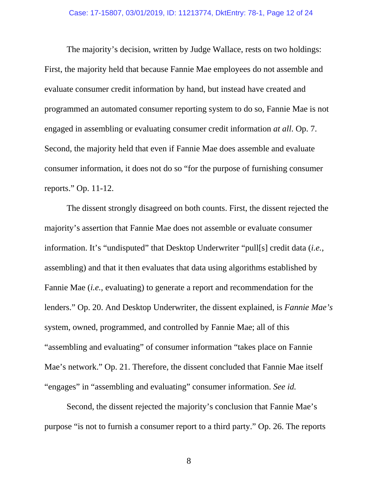The majority's decision, written by Judge Wallace, rests on two holdings: First, the majority held that because Fannie Mae employees do not assemble and evaluate consumer credit information by hand, but instead have created and programmed an automated consumer reporting system to do so, Fannie Mae is not engaged in assembling or evaluating consumer credit information *at all*. Op. 7. Second, the majority held that even if Fannie Mae does assemble and evaluate consumer information, it does not do so "for the purpose of furnishing consumer reports." Op. 11-12.

The dissent strongly disagreed on both counts. First, the dissent rejected the majority's assertion that Fannie Mae does not assemble or evaluate consumer information. It's "undisputed" that Desktop Underwriter "pull[s] credit data (*i.e.*, assembling) and that it then evaluates that data using algorithms established by Fannie Mae (*i.e.*, evaluating) to generate a report and recommendation for the lenders." Op. 20. And Desktop Underwriter, the dissent explained, is *Fannie Mae's*  system, owned, programmed, and controlled by Fannie Mae; all of this "assembling and evaluating" of consumer information "takes place on Fannie Mae's network." Op. 21. Therefore, the dissent concluded that Fannie Mae itself "engages" in "assembling and evaluating" consumer information. *See id.* 

Second, the dissent rejected the majority's conclusion that Fannie Mae's purpose "is not to furnish a consumer report to a third party." Op. 26. The reports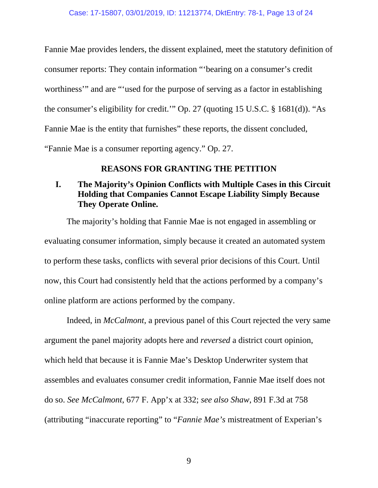Fannie Mae provides lenders, the dissent explained, meet the statutory definition of consumer reports: They contain information "'bearing on a consumer's credit worthiness'" and are "'used for the purpose of serving as a factor in establishing the consumer's eligibility for credit.'" Op. 27 (quoting 15 U.S.C. § 1681(d)). "As Fannie Mae is the entity that furnishes" these reports, the dissent concluded, "Fannie Mae is a consumer reporting agency." Op. 27.

# **REASONS FOR GRANTING THE PETITION**

# <span id="page-12-1"></span><span id="page-12-0"></span>**I. The Majority's Opinion Conflicts with Multiple Cases in this Circuit Holding that Companies Cannot Escape Liability Simply Because They Operate Online.**

The majority's holding that Fannie Mae is not engaged in assembling or evaluating consumer information, simply because it created an automated system to perform these tasks, conflicts with several prior decisions of this Court. Until now, this Court had consistently held that the actions performed by a company's online platform are actions performed by the company.

<span id="page-12-3"></span><span id="page-12-2"></span>Indeed, in *McCalmont*, a previous panel of this Court rejected the very same argument the panel majority adopts here and *reversed* a district court opinion, which held that because it is Fannie Mae's Desktop Underwriter system that assembles and evaluates consumer credit information, Fannie Mae itself does not do so. *See McCalmont*, 677 F. App'x at 332; *see also Shaw*, 891 F.3d at 758 (attributing "inaccurate reporting" to "*Fannie Mae's* mistreatment of Experian's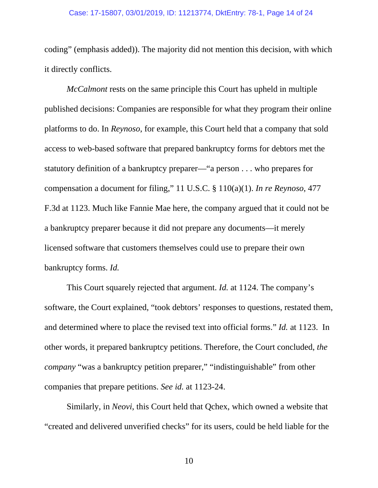#### Case: 17-15807, 03/01/2019, ID: 11213774, DktEntry: 78-1, Page 14 of 24

coding" (emphasis added)). The majority did not mention this decision, with which it directly conflicts.

<span id="page-13-3"></span><span id="page-13-2"></span><span id="page-13-1"></span>*McCalmont* rests on the same principle this Court has upheld in multiple published decisions: Companies are responsible for what they program their online platforms to do. In *Reynoso*, for example, this Court held that a company that sold access to web-based software that prepared bankruptcy forms for debtors met the statutory definition of a bankruptcy preparer—"a person . . . who prepares for compensation a document for filing," 11 U.S.C. § 110(a)(1). *In re Reynoso*, 477 F.3d at 1123. Much like Fannie Mae here, the company argued that it could not be a bankruptcy preparer because it did not prepare any documents—it merely licensed software that customers themselves could use to prepare their own bankruptcy forms. *Id.* 

This Court squarely rejected that argument. *Id.* at 1124. The company's software, the Court explained, "took debtors' responses to questions, restated them, and determined where to place the revised text into official forms." *Id.* at 1123. In other words, it prepared bankruptcy petitions. Therefore, the Court concluded, *the company* "was a bankruptcy petition preparer," "indistinguishable" from other companies that prepare petitions. *See id.* at 1123-24.

<span id="page-13-0"></span>Similarly, in *Neovi*, this Court held that Qchex, which owned a website that "created and delivered unverified checks" for its users, could be held liable for the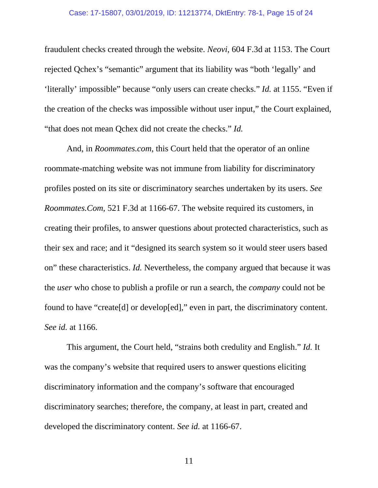#### <span id="page-14-0"></span>Case: 17-15807, 03/01/2019, ID: 11213774, DktEntry: 78-1, Page 15 of 24

fraudulent checks created through the website. *Neovi*, 604 F.3d at 1153. The Court rejected Qchex's "semantic" argument that its liability was "both 'legally' and 'literally' impossible" because "only users can create checks." *Id.* at 1155. "Even if the creation of the checks was impossible without user input," the Court explained, "that does not mean Qchex did not create the checks." *Id.*

<span id="page-14-1"></span>And, in *Roommates.com*, this Court held that the operator of an online roommate-matching website was not immune from liability for discriminatory profiles posted on its site or discriminatory searches undertaken by its users. *See Roommates.Com*, 521 F.3d at 1166-67. The website required its customers, in creating their profiles, to answer questions about protected characteristics, such as their sex and race; and it "designed its search system so it would steer users based on" these characteristics. *Id.* Nevertheless, the company argued that because it was the *user* who chose to publish a profile or run a search, the *company* could not be found to have "create[d] or develop[ed]," even in part, the discriminatory content. *See id.* at 1166.

This argument, the Court held, "strains both credulity and English." *Id.* It was the company's website that required users to answer questions eliciting discriminatory information and the company's software that encouraged discriminatory searches; therefore, the company, at least in part, created and developed the discriminatory content. *See id.* at 1166-67.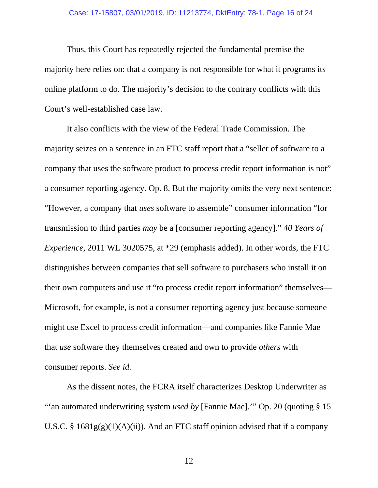#### Case: 17-15807, 03/01/2019, ID: 11213774, DktEntry: 78-1, Page 16 of 24

Thus, this Court has repeatedly rejected the fundamental premise the majority here relies on: that a company is not responsible for what it programs its online platform to do. The majority's decision to the contrary conflicts with this Court's well-established case law.

It also conflicts with the view of the Federal Trade Commission. The majority seizes on a sentence in an FTC staff report that a "seller of software to a company that uses the software product to process credit report information is not" a consumer reporting agency. Op. 8. But the majority omits the very next sentence: "However, a company that *uses* software to assemble" consumer information "for transmission to third parties *may* be a [consumer reporting agency]." *40 Years of Experience*, 2011 WL 3020575, at \*29 (emphasis added). In other words, the FTC distinguishes between companies that sell software to purchasers who install it on their own computers and use it "to process credit report information" themselves— Microsoft, for example, is not a consumer reporting agency just because someone might use Excel to process credit information—and companies like Fannie Mae that *use* software they themselves created and own to provide *others* with consumer reports. *See id.* 

As the dissent notes, the FCRA itself characterizes Desktop Underwriter as "'an automated underwriting system *used by* [Fannie Mae].'" Op. 20 (quoting § 15 U.S.C. §  $1681g(g)(1)(A)(ii)$ . And an FTC staff opinion advised that if a company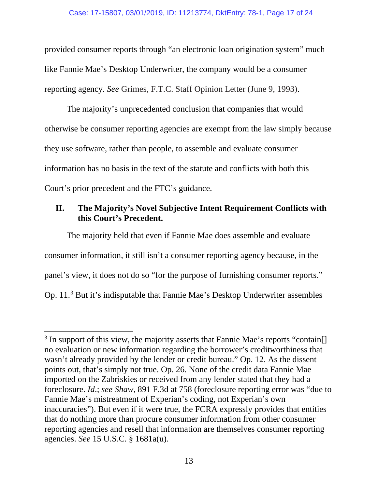### Case: 17-15807, 03/01/2019, ID: 11213774, DktEntry: 78-1, Page 17 of 24

provided consumer reports through "an electronic loan origination system" much like Fannie Mae's Desktop Underwriter, the company would be a consumer reporting agency. *See* Grimes, F.T.C. Staff Opinion Letter (June 9, 1993).

The majority's unprecedented conclusion that companies that would otherwise be consumer reporting agencies are exempt from the law simply because they use software, rather than people, to assemble and evaluate consumer information has no basis in the text of the statute and conflicts with both this Court's prior precedent and the FTC's guidance.

## <span id="page-16-0"></span>**II. The Majority's Novel Subjective Intent Requirement Conflicts with this Court's Precedent.**

The majority held that even if Fannie Mae does assemble and evaluate consumer information, it still isn't a consumer reporting agency because, in the panel's view, it does not do so "for the purpose of furnishing consumer reports." Op. 11.[3](#page-16-3) But it's indisputable that Fannie Mae's Desktop Underwriter assembles

 $\overline{a}$ 

<span id="page-16-3"></span><span id="page-16-2"></span><span id="page-16-1"></span> $3$  In support of this view, the majority asserts that Fannie Mae's reports "contain[] no evaluation or new information regarding the borrower's creditworthiness that wasn't already provided by the lender or credit bureau." Op. 12. As the dissent points out, that's simply not true. Op. 26. None of the credit data Fannie Mae imported on the Zabriskies or received from any lender stated that they had a foreclosure. *Id*.; *see Shaw*, 891 F.3d at 758 (foreclosure reporting error was "due to Fannie Mae's mistreatment of Experian's coding, not Experian's own inaccuracies"). But even if it were true, the FCRA expressly provides that entities that do nothing more than procure consumer information from other consumer reporting agencies and resell that information are themselves consumer reporting agencies. *See* 15 U.S.C. § 1681a(u).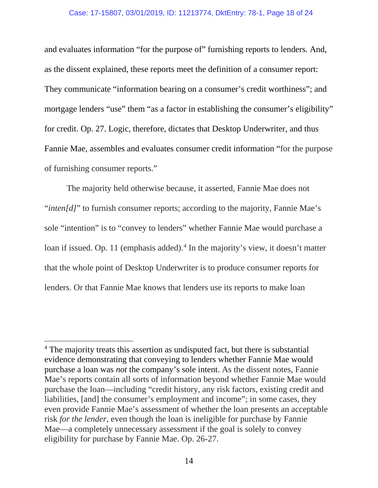### Case: 17-15807, 03/01/2019, ID: 11213774, DktEntry: 78-1, Page 18 of 24

and evaluates information "for the purpose of" furnishing reports to lenders. And, as the dissent explained, these reports meet the definition of a consumer report: They communicate "information bearing on a consumer's credit worthiness"; and mortgage lenders "use" them "as a factor in establishing the consumer's eligibility" for credit. Op. 27. Logic, therefore, dictates that Desktop Underwriter, and thus Fannie Mae, assembles and evaluates consumer credit information "for the purpose of furnishing consumer reports."

The majority held otherwise because, it asserted, Fannie Mae does not "*inten[d]*" to furnish consumer reports; according to the majority, Fannie Mae's sole "intention" is to "convey to lenders" whether Fannie Mae would purchase a loan if issued. Op. 11 (emphasis added).<sup>[4](#page-17-0)</sup> In the majority's view, it doesn't matter that the whole point of Desktop Underwriter is to produce consumer reports for lenders. Or that Fannie Mae knows that lenders use its reports to make loan

 $\overline{\phantom{a}}$ 

<span id="page-17-0"></span><sup>&</sup>lt;sup>4</sup> The majority treats this assertion as undisputed fact, but there is substantial evidence demonstrating that conveying to lenders whether Fannie Mae would purchase a loan was *not* the company's sole intent. As the dissent notes, Fannie Mae's reports contain all sorts of information beyond whether Fannie Mae would purchase the loan—including "credit history, any risk factors, existing credit and liabilities, [and] the consumer's employment and income"; in some cases, they even provide Fannie Mae's assessment of whether the loan presents an acceptable risk *for the lender*, even though the loan is ineligible for purchase by Fannie Mae—a completely unnecessary assessment if the goal is solely to convey eligibility for purchase by Fannie Mae. Op. 26-27.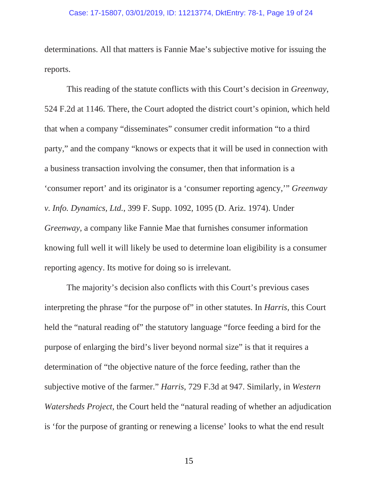#### <span id="page-18-2"></span>Case: 17-15807, 03/01/2019, ID: 11213774, DktEntry: 78-1, Page 19 of 24

determinations. All that matters is Fannie Mae's subjective motive for issuing the reports.

<span id="page-18-1"></span>This reading of the statute conflicts with this Court's decision in *Greenway*, 524 F.2d at 1146. There, the Court adopted the district court's opinion, which held that when a company "disseminates" consumer credit information "to a third party," and the company "knows or expects that it will be used in connection with a business transaction involving the consumer, then that information is a 'consumer report' and its originator is a 'consumer reporting agency,'" *Greenway v. Info. Dynamics, Ltd.*, 399 F. Supp. 1092, 1095 (D. Ariz. 1974). Under *Greenway*, a company like Fannie Mae that furnishes consumer information knowing full well it will likely be used to determine loan eligibility is a consumer reporting agency. Its motive for doing so is irrelevant.

<span id="page-18-0"></span>The majority's decision also conflicts with this Court's previous cases interpreting the phrase "for the purpose of" in other statutes. In *Harris*, this Court held the "natural reading of" the statutory language "force feeding a bird for the purpose of enlarging the bird's liver beyond normal size" is that it requires a determination of "the objective nature of the force feeding, rather than the subjective motive of the farmer." *Harris*, 729 F.3d at 947. Similarly, in *Western Watersheds Project*, the Court held the "natural reading of whether an adjudication is 'for the purpose of granting or renewing a license' looks to what the end result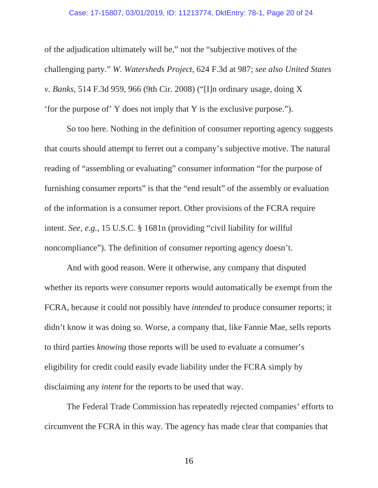#### <span id="page-19-1"></span><span id="page-19-0"></span>Case: 17-15807, 03/01/2019, ID: 11213774, DktEntry: 78-1, Page 20 of 24

of the adjudication ultimately will be," not the "subjective motives of the challenging party." *W. Watersheds Project*, 624 F.3d at 987; *see also United States v. Banks*, 514 F.3d 959, 966 (9th Cir. 2008) ("[I]n ordinary usage, doing X 'for the purpose of' Y does not imply that Y is the exclusive purpose.").

So too here. Nothing in the definition of consumer reporting agency suggests that courts should attempt to ferret out a company's subjective motive. The natural reading of "assembling or evaluating" consumer information "for the purpose of furnishing consumer reports" is that the "end result" of the assembly or evaluation of the information is a consumer report. Other provisions of the FCRA require intent. *See, e.g.*, 15 U.S.C. § 1681n (providing "civil liability for willful noncompliance"). The definition of consumer reporting agency doesn't.

<span id="page-19-2"></span>And with good reason. Were it otherwise, any company that disputed whether its reports were consumer reports would automatically be exempt from the FCRA, because it could not possibly have *intended* to produce consumer reports; it didn't know it was doing so. Worse, a company that, like Fannie Mae, sells reports to third parties *knowing* those reports will be used to evaluate a consumer's eligibility for credit could easily evade liability under the FCRA simply by disclaiming any *intent* for the reports to be used that way.

The Federal Trade Commission has repeatedly rejected companies' efforts to circumvent the FCRA in this way. The agency has made clear that companies that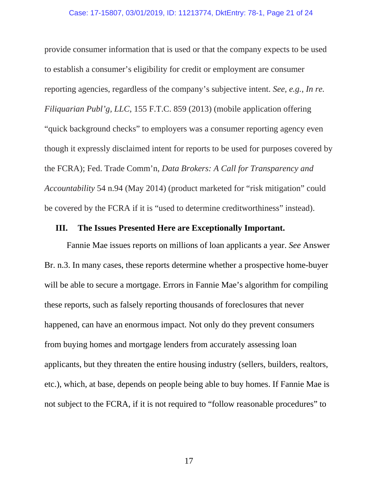<span id="page-20-1"></span>provide consumer information that is used or that the company expects to be used to establish a consumer's eligibility for credit or employment are consumer reporting agencies, regardless of the company's subjective intent. *See, e.g.*, *In re. Filiquarian Publ'g, LLC*, 155 F.T.C. 859 (2013) (mobile application offering "quick background checks" to employers was a consumer reporting agency even though it expressly disclaimed intent for reports to be used for purposes covered by the FCRA); Fed. Trade Comm'n, *Data Brokers: A Call for Transparency and Accountability* 54 n.94 (May 2014) (product marketed for "risk mitigation" could be covered by the FCRA if it is "used to determine creditworthiness" instead).

### <span id="page-20-2"></span><span id="page-20-0"></span>**III. The Issues Presented Here are Exceptionally Important.**

Fannie Mae issues reports on millions of loan applicants a year. *See* Answer Br. n.3. In many cases, these reports determine whether a prospective home-buyer will be able to secure a mortgage. Errors in Fannie Mae's algorithm for compiling these reports, such as falsely reporting thousands of foreclosures that never happened, can have an enormous impact. Not only do they prevent consumers from buying homes and mortgage lenders from accurately assessing loan applicants, but they threaten the entire housing industry (sellers, builders, realtors, etc.), which, at base, depends on people being able to buy homes. If Fannie Mae is not subject to the FCRA, if it is not required to "follow reasonable procedures" to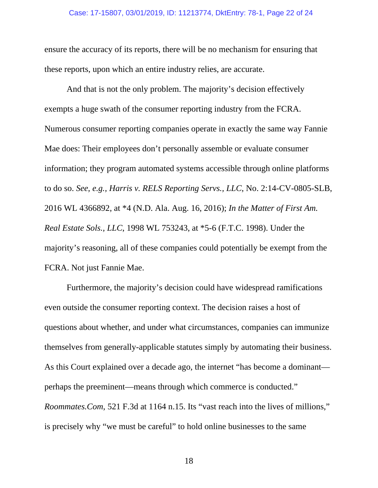ensure the accuracy of its reports, there will be no mechanism for ensuring that these reports, upon which an entire industry relies, are accurate.

<span id="page-21-2"></span>And that is not the only problem. The majority's decision effectively exempts a huge swath of the consumer reporting industry from the FCRA. Numerous consumer reporting companies operate in exactly the same way Fannie Mae does: Their employees don't personally assemble or evaluate consumer information; they program automated systems accessible through online platforms to do so. *See, e.g., Harris v. RELS Reporting Servs., LLC*, No. 2:14-CV-0805-SLB, 2016 WL 4366892, at \*4 (N.D. Ala. Aug. 16, 2016); *In the Matter of First Am. Real Estate Sols., LLC*, 1998 WL 753243, at \*5-6 (F.T.C. 1998). Under the majority's reasoning, all of these companies could potentially be exempt from the FCRA. Not just Fannie Mae.

<span id="page-21-1"></span><span id="page-21-0"></span>Furthermore, the majority's decision could have widespread ramifications even outside the consumer reporting context. The decision raises a host of questions about whether, and under what circumstances, companies can immunize themselves from generally-applicable statutes simply by automating their business. As this Court explained over a decade ago, the internet "has become a dominant perhaps the preeminent—means through which commerce is conducted." *Roommates.Com*, 521 F.3d at 1164 n.15. Its "vast reach into the lives of millions," is precisely why "we must be careful" to hold online businesses to the same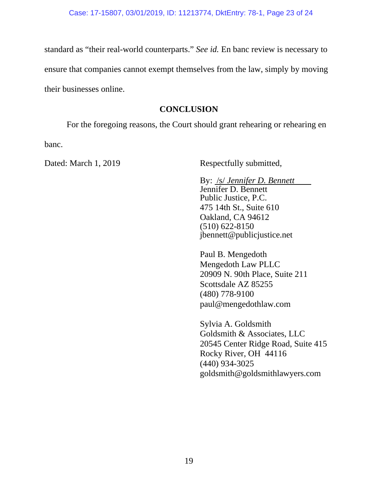standard as "their real-world counterparts." *See id.* En banc review is necessary to ensure that companies cannot exempt themselves from the law, simply by moving their businesses online.

## <span id="page-22-1"></span>**CONCLUSION**

<span id="page-22-0"></span>For the foregoing reasons, the Court should grant rehearing or rehearing en banc.

Dated: March 1, 2019 Respectfully submitted,

By: /s/ *Jennifer D. Bennett* Jennifer D. Bennett Public Justice, P.C. 475 14th St., Suite 610 Oakland, CA 94612 (510) 622-8150 jbennett@publicjustice.net

Paul B. Mengedoth Mengedoth Law PLLC 20909 N. 90th Place, Suite 211 Scottsdale AZ 85255 (480) 778-9100 paul@mengedothlaw.com

Sylvia A. Goldsmith Goldsmith & Associates, LLC 20545 Center Ridge Road, Suite 415 Rocky River, OH 44116 (440) 934-3025 goldsmith@goldsmithlawyers.com